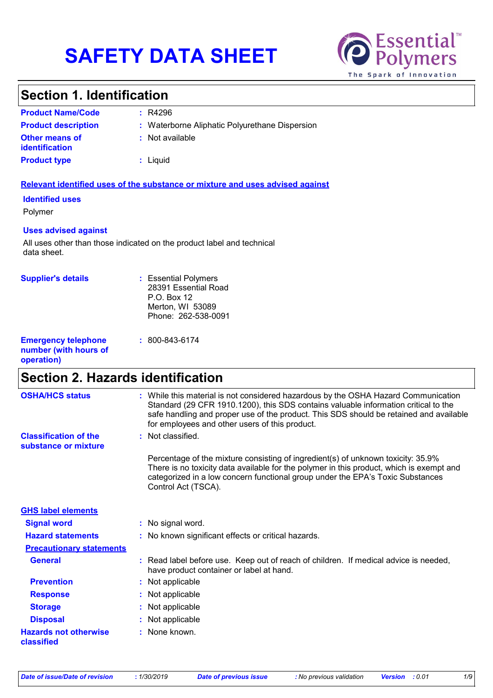# **SAFETY DATA SHEET**



# **Section 1. Identification**

| <b>Product Name/Code</b>                       | : R4296                                        |
|------------------------------------------------|------------------------------------------------|
| <b>Product description</b>                     | : Waterborne Aliphatic Polyurethane Dispersion |
| <b>Other means of</b><br><i>identification</i> | : Not available                                |
| <b>Product type</b>                            | : Liauid                                       |

### **Relevant identified uses of the substance or mixture and uses advised against**

### **Identified uses**

Polymer

### **Uses advised against**

All uses other than those indicated on the product label and technical data sheet.

| <b>Supplier's details</b>                                         | : Essential Polymers<br>28391 Essential Road<br>P.O. Box 12<br>Merton, WI 53089<br>Phone: 262-538-0091 |
|-------------------------------------------------------------------|--------------------------------------------------------------------------------------------------------|
| <b>Emergency telephone</b><br>number (with hours of<br>operation) | $: 800 - 843 - 6174$                                                                                   |

# **Section 2. Hazards identification**

| <b>OSHA/HCS status</b>                               | : While this material is not considered hazardous by the OSHA Hazard Communication<br>Standard (29 CFR 1910.1200), this SDS contains valuable information critical to the<br>safe handling and proper use of the product. This SDS should be retained and available<br>for employees and other users of this product. |
|------------------------------------------------------|-----------------------------------------------------------------------------------------------------------------------------------------------------------------------------------------------------------------------------------------------------------------------------------------------------------------------|
| <b>Classification of the</b><br>substance or mixture | : Not classified.                                                                                                                                                                                                                                                                                                     |
|                                                      | Percentage of the mixture consisting of ingredient(s) of unknown toxicity: 35.9%<br>There is no toxicity data available for the polymer in this product, which is exempt and<br>categorized in a low concern functional group under the EPA's Toxic Substances<br>Control Act (TSCA).                                 |
| <b>GHS label elements</b>                            |                                                                                                                                                                                                                                                                                                                       |
| <b>Signal word</b>                                   | : No signal word.                                                                                                                                                                                                                                                                                                     |
| <b>Hazard statements</b>                             | : No known significant effects or critical hazards.                                                                                                                                                                                                                                                                   |
| <b>Precautionary statements</b>                      |                                                                                                                                                                                                                                                                                                                       |
| <b>General</b>                                       | : Read label before use. Keep out of reach of children. If medical advice is needed,<br>have product container or label at hand.                                                                                                                                                                                      |
| <b>Prevention</b>                                    | : Not applicable                                                                                                                                                                                                                                                                                                      |
| <b>Response</b>                                      | : Not applicable                                                                                                                                                                                                                                                                                                      |
| <b>Storage</b>                                       | : Not applicable                                                                                                                                                                                                                                                                                                      |
| <b>Disposal</b>                                      | : Not applicable                                                                                                                                                                                                                                                                                                      |
| <b>Hazards not otherwise</b><br>classified           | : None known.                                                                                                                                                                                                                                                                                                         |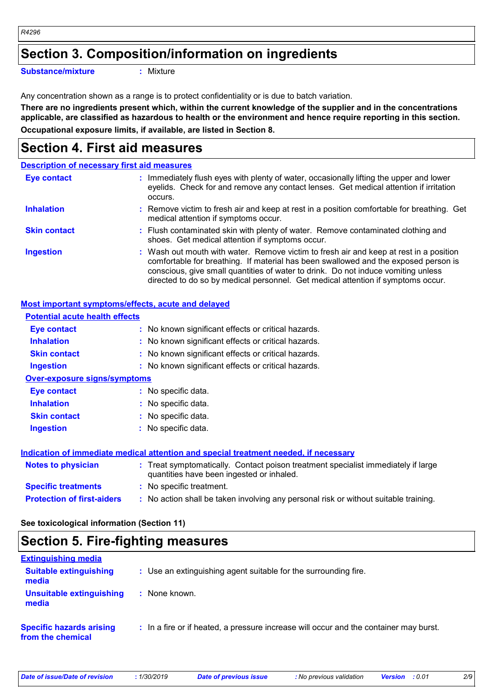# **Section 3. Composition/information on ingredients**

**Substance/mixture :**

: Mixture

Any concentration shown as a range is to protect confidentiality or is due to batch variation.

**There are no ingredients present which, within the current knowledge of the supplier and in the concentrations applicable, are classified as hazardous to health or the environment and hence require reporting in this section. Occupational exposure limits, if available, are listed in Section 8.**

# **Section 4. First aid measures**

| <b>Description of necessary first aid measures</b> |                                                                                                                                                                                                                                                                                                                                                        |  |
|----------------------------------------------------|--------------------------------------------------------------------------------------------------------------------------------------------------------------------------------------------------------------------------------------------------------------------------------------------------------------------------------------------------------|--|
| <b>Eye contact</b>                                 | : Immediately flush eyes with plenty of water, occasionally lifting the upper and lower<br>eyelids. Check for and remove any contact lenses. Get medical attention if irritation<br>occurs.                                                                                                                                                            |  |
| <b>Inhalation</b>                                  | : Remove victim to fresh air and keep at rest in a position comfortable for breathing. Get<br>medical attention if symptoms occur.                                                                                                                                                                                                                     |  |
| <b>Skin contact</b>                                | : Flush contaminated skin with plenty of water. Remove contaminated clothing and<br>shoes. Get medical attention if symptoms occur.                                                                                                                                                                                                                    |  |
| <b>Ingestion</b>                                   | : Wash out mouth with water. Remove victim to fresh air and keep at rest in a position<br>comfortable for breathing. If material has been swallowed and the exposed person is<br>conscious, give small quantities of water to drink. Do not induce vomiting unless<br>directed to do so by medical personnel. Get medical attention if symptoms occur. |  |

### **Most important symptoms/effects, acute and delayed**

| <b>Potential acute health effects</b>                                                |                                                                                                                                |  |
|--------------------------------------------------------------------------------------|--------------------------------------------------------------------------------------------------------------------------------|--|
| Eye contact                                                                          | : No known significant effects or critical hazards.                                                                            |  |
| <b>Inhalation</b>                                                                    | : No known significant effects or critical hazards.                                                                            |  |
| <b>Skin contact</b>                                                                  | : No known significant effects or critical hazards.                                                                            |  |
| <b>Ingestion</b>                                                                     | : No known significant effects or critical hazards.                                                                            |  |
| <b>Over-exposure signs/symptoms</b>                                                  |                                                                                                                                |  |
| Eye contact                                                                          | : No specific data.                                                                                                            |  |
| <b>Inhalation</b>                                                                    | : No specific data.                                                                                                            |  |
| <b>Skin contact</b>                                                                  | : No specific data.                                                                                                            |  |
| <b>Ingestion</b>                                                                     | : No specific data.                                                                                                            |  |
| Indication of immediate medical attention and special treatment needed, if necessary |                                                                                                                                |  |
| <b>Notes to physician</b>                                                            | : Treat symptomatically. Contact poison treatment specialist immediately if large<br>quantities have been ingested or inhaled. |  |
| <b>Specific treatments</b>                                                           | : No specific treatment.                                                                                                       |  |
| <b>Protection of first-aiders</b>                                                    | : No action shall be taken involving any personal risk or without suitable training.                                           |  |

**See toxicological information (Section 11)**

# **Section 5. Fire-fighting measures**

| <b>Extinguishing media</b>                           |                                                                                       |
|------------------------------------------------------|---------------------------------------------------------------------------------------|
| <b>Suitable extinguishing</b><br>media               | : Use an extinguishing agent suitable for the surrounding fire.                       |
| <b>Unsuitable extinguishing</b><br>media             | : None known.                                                                         |
| <b>Specific hazards arising</b><br>from the chemical | : In a fire or if heated, a pressure increase will occur and the container may burst. |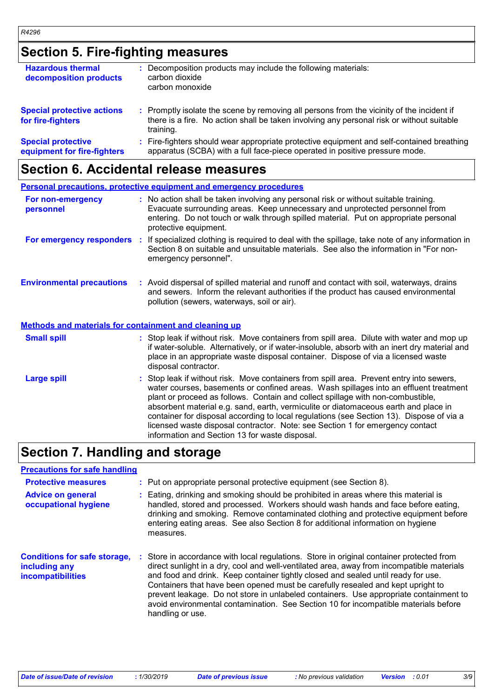# **Section 5. Fire-fighting measures**

| <b>Hazardous thermal</b><br>decomposition products       | : Decomposition products may include the following materials:<br>carbon dioxide<br>carbon monoxide                                                                                                  |
|----------------------------------------------------------|-----------------------------------------------------------------------------------------------------------------------------------------------------------------------------------------------------|
| <b>Special protective actions</b><br>for fire-fighters   | : Promptly isolate the scene by removing all persons from the vicinity of the incident if<br>there is a fire. No action shall be taken involving any personal risk or without suitable<br>training. |
| <b>Special protective</b><br>equipment for fire-fighters | : Fire-fighters should wear appropriate protective equipment and self-contained breathing<br>apparatus (SCBA) with a full face-piece operated in positive pressure mode.                            |

## **Section 6. Accidental release measures**

|                                                              | <b>Personal precautions, protective equipment and emergency procedures</b>                                                                                                                                                                                                                                                                                                                                                                                                                                                                                                                 |
|--------------------------------------------------------------|--------------------------------------------------------------------------------------------------------------------------------------------------------------------------------------------------------------------------------------------------------------------------------------------------------------------------------------------------------------------------------------------------------------------------------------------------------------------------------------------------------------------------------------------------------------------------------------------|
| For non-emergency<br>personnel                               | : No action shall be taken involving any personal risk or without suitable training.<br>Evacuate surrounding areas. Keep unnecessary and unprotected personnel from<br>entering. Do not touch or walk through spilled material. Put on appropriate personal<br>protective equipment.                                                                                                                                                                                                                                                                                                       |
|                                                              | For emergency responders : If specialized clothing is required to deal with the spillage, take note of any information in<br>Section 8 on suitable and unsuitable materials. See also the information in "For non-<br>emergency personnel".                                                                                                                                                                                                                                                                                                                                                |
| <b>Environmental precautions</b>                             | : Avoid dispersal of spilled material and runoff and contact with soil, waterways, drains<br>and sewers. Inform the relevant authorities if the product has caused environmental<br>pollution (sewers, waterways, soil or air).                                                                                                                                                                                                                                                                                                                                                            |
| <b>Methods and materials for containment and cleaning up</b> |                                                                                                                                                                                                                                                                                                                                                                                                                                                                                                                                                                                            |
| <b>Small spill</b>                                           | : Stop leak if without risk. Move containers from spill area. Dilute with water and mop up<br>if water-soluble. Alternatively, or if water-insoluble, absorb with an inert dry material and<br>place in an appropriate waste disposal container. Dispose of via a licensed waste<br>disposal contractor.                                                                                                                                                                                                                                                                                   |
| <b>Large spill</b>                                           | : Stop leak if without risk. Move containers from spill area. Prevent entry into sewers,<br>water courses, basements or confined areas. Wash spillages into an effluent treatment<br>plant or proceed as follows. Contain and collect spillage with non-combustible,<br>absorbent material e.g. sand, earth, vermiculite or diatomaceous earth and place in<br>container for disposal according to local regulations (see Section 13). Dispose of via a<br>licensed waste disposal contractor. Note: see Section 1 for emergency contact<br>information and Section 13 for waste disposal. |

# **Section 7. Handling and storage**

### **Advice on general occupational hygiene Conditions for safe storage, including any incompatibilities** Eating, drinking and smoking should be prohibited in areas where this material is **:** handled, stored and processed. Workers should wash hands and face before eating, drinking and smoking. Remove contaminated clothing and protective equipment before entering eating areas. See also Section 8 for additional information on hygiene measures. Store in accordance with local regulations. Store in original container protected from **:** direct sunlight in a dry, cool and well-ventilated area, away from incompatible materials and food and drink. Keep container tightly closed and sealed until ready for use. Containers that have been opened must be carefully resealed and kept upright to prevent leakage. Do not store in unlabeled containers. Use appropriate containment to avoid environmental contamination. See Section 10 for incompatible materials before handling or use. **Protective measures : Put on appropriate personal protective equipment (see Section 8). Precautions for safe handling**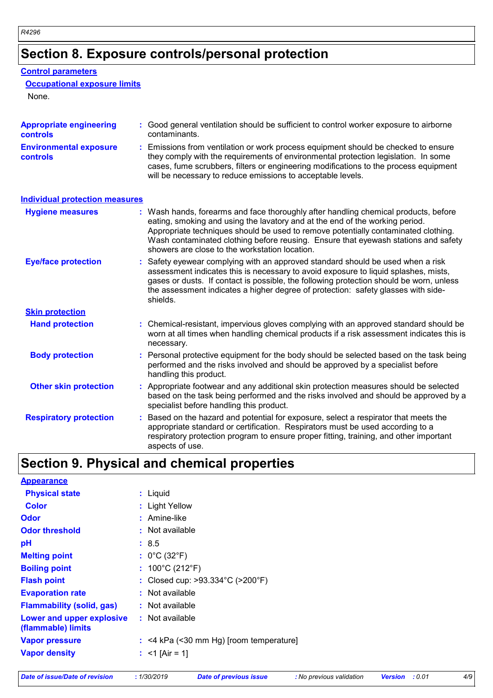# **Section 8. Exposure controls/personal protection**

### **Control parameters**

### **Occupational exposure limits**

None.

| <b>Appropriate engineering</b><br><b>controls</b> |    | : Good general ventilation should be sufficient to control worker exposure to airborne<br>contaminants.                                                                                                                                                                                                                                                                                           |
|---------------------------------------------------|----|---------------------------------------------------------------------------------------------------------------------------------------------------------------------------------------------------------------------------------------------------------------------------------------------------------------------------------------------------------------------------------------------------|
| <b>Environmental exposure</b><br>controls         |    | Emissions from ventilation or work process equipment should be checked to ensure<br>they comply with the requirements of environmental protection legislation. In some<br>cases, fume scrubbers, filters or engineering modifications to the process equipment<br>will be necessary to reduce emissions to acceptable levels.                                                                     |
| <b>Individual protection measures</b>             |    |                                                                                                                                                                                                                                                                                                                                                                                                   |
| <b>Hygiene measures</b>                           |    | : Wash hands, forearms and face thoroughly after handling chemical products, before<br>eating, smoking and using the lavatory and at the end of the working period.<br>Appropriate techniques should be used to remove potentially contaminated clothing.<br>Wash contaminated clothing before reusing. Ensure that eyewash stations and safety<br>showers are close to the workstation location. |
| <b>Eye/face protection</b>                        |    | Safety eyewear complying with an approved standard should be used when a risk<br>assessment indicates this is necessary to avoid exposure to liquid splashes, mists,<br>gases or dusts. If contact is possible, the following protection should be worn, unless<br>the assessment indicates a higher degree of protection: safety glasses with side-<br>shields.                                  |
| <b>Skin protection</b>                            |    |                                                                                                                                                                                                                                                                                                                                                                                                   |
| <b>Hand protection</b>                            |    | : Chemical-resistant, impervious gloves complying with an approved standard should be<br>worn at all times when handling chemical products if a risk assessment indicates this is<br>necessary.                                                                                                                                                                                                   |
| <b>Body protection</b>                            |    | : Personal protective equipment for the body should be selected based on the task being<br>performed and the risks involved and should be approved by a specialist before<br>handling this product.                                                                                                                                                                                               |
| <b>Other skin protection</b>                      |    | : Appropriate footwear and any additional skin protection measures should be selected<br>based on the task being performed and the risks involved and should be approved by a<br>specialist before handling this product.                                                                                                                                                                         |
| <b>Respiratory protection</b>                     | t. | Based on the hazard and potential for exposure, select a respirator that meets the<br>appropriate standard or certification. Respirators must be used according to a<br>respiratory protection program to ensure proper fitting, training, and other important<br>aspects of use.                                                                                                                 |

# **Section 9. Physical and chemical properties**

| <b>Appearance</b>                               |                                                       |
|-------------------------------------------------|-------------------------------------------------------|
| <b>Physical state</b>                           | $:$ Liquid                                            |
| <b>Color</b>                                    | : Light Yellow                                        |
| <b>Odor</b>                                     | $:$ Amine-like                                        |
| <b>Odor threshold</b>                           | : Not available                                       |
| pH                                              | : 8.5                                                 |
| <b>Melting point</b>                            | : $0^{\circ}$ C (32 $^{\circ}$ F)                     |
| <b>Boiling point</b>                            | : $100^{\circ}$ C (212 $^{\circ}$ F)                  |
| <b>Flash point</b>                              | : Closed cup: $>93.334^{\circ}$ C ( $>200^{\circ}$ F) |
| <b>Evaporation rate</b>                         | : Not available                                       |
| <b>Flammability (solid, gas)</b>                | : Not available                                       |
| Lower and upper explosive<br>(flammable) limits | : Not available                                       |
| <b>Vapor pressure</b>                           | $:$ <4 kPa (<30 mm Hg) [room temperature]             |
| <b>Vapor density</b>                            | : $<$ 1 [Air = 1]                                     |
|                                                 |                                                       |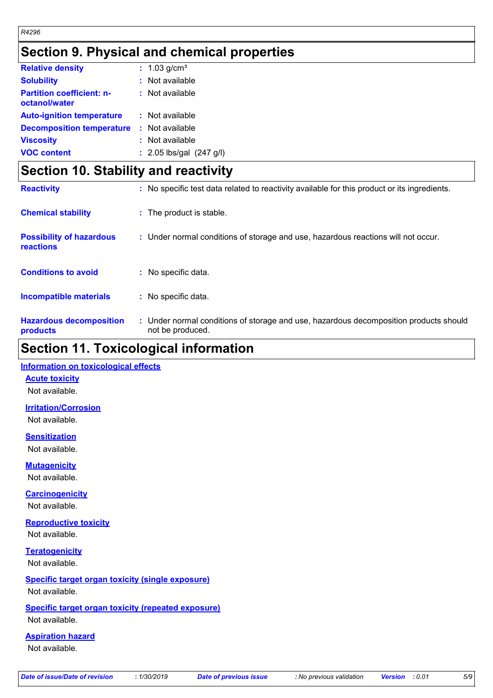# **Section 9. Physical and chemical properties**

| <b>Relative density</b>                           | : $1.03$ g/cm <sup>3</sup>   |
|---------------------------------------------------|------------------------------|
| <b>Solubility</b>                                 | : Not available              |
| <b>Partition coefficient: n-</b><br>octanol/water | : Not available              |
| <b>Auto-ignition temperature</b>                  | : Not available              |
| <b>Decomposition temperature</b>                  | : Not available              |
| <b>Viscosity</b>                                  | $:$ Not available            |
| <b>VOC content</b>                                | : $2.05$ lbs/gal $(247 g/l)$ |
|                                                   |                              |

# **Section 10. Stability and reactivity**

| <b>Reactivity</b>                                   | : No specific test data related to reactivity available for this product or its ingredients.              |
|-----------------------------------------------------|-----------------------------------------------------------------------------------------------------------|
| <b>Chemical stability</b>                           | : The product is stable.                                                                                  |
| <b>Possibility of hazardous</b><br><b>reactions</b> | : Under normal conditions of storage and use, hazardous reactions will not occur.                         |
| <b>Conditions to avoid</b>                          | : No specific data.                                                                                       |
| <b>Incompatible materials</b>                       | : No specific data.                                                                                       |
| <b>Hazardous decomposition</b><br>products          | : Under normal conditions of storage and use, hazardous decomposition products should<br>not be produced. |

# **Section 11. Toxicological information**

### **Information on toxicological effects**

### **Acute toxicity**

Not available.

**Irritation/Corrosion**

Not available.

**Sensitization**

Not available.

**Mutagenicity**

Not available.

**Carcinogenicity** Not available.

### **Reproductive toxicity** Not available.

**Teratogenicity** Not available.

### **Specific target organ toxicity (single exposure)** Not available.

**Specific target organ toxicity (repeated exposure)**

Not available.

### **Aspiration hazard**

Not available.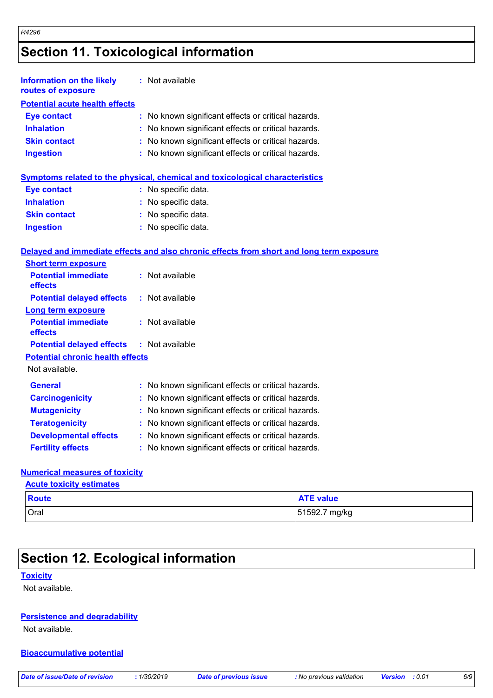# **Section 11. Toxicological information**

*R4296*

| <b>Information on the likely</b><br>routes of exposure      | : Not available                                                                          |  |  |  |  |  |  |
|-------------------------------------------------------------|------------------------------------------------------------------------------------------|--|--|--|--|--|--|
| <b>Potential acute health effects</b>                       |                                                                                          |  |  |  |  |  |  |
| <b>Eye contact</b>                                          | : No known significant effects or critical hazards.                                      |  |  |  |  |  |  |
| <b>Inhalation</b>                                           | : No known significant effects or critical hazards.                                      |  |  |  |  |  |  |
| Skin contact                                                | : No known significant effects or critical hazards.                                      |  |  |  |  |  |  |
| <b>Ingestion</b>                                            | : No known significant effects or critical hazards.                                      |  |  |  |  |  |  |
|                                                             | <b>Symptoms related to the physical, chemical and toxicological characteristics</b>      |  |  |  |  |  |  |
| <b>Eye contact</b>                                          | : No specific data.                                                                      |  |  |  |  |  |  |
| <b>Inhalation</b>                                           | : No specific data.                                                                      |  |  |  |  |  |  |
| <b>Skin contact</b>                                         | : No specific data.                                                                      |  |  |  |  |  |  |
| <b>Ingestion</b>                                            | : No specific data.                                                                      |  |  |  |  |  |  |
| <b>Short term exposure</b>                                  | Delayed and immediate effects and also chronic effects from short and long term exposure |  |  |  |  |  |  |
| <b>Potential immediate</b><br>effects                       | : Not available                                                                          |  |  |  |  |  |  |
| <b>Potential delayed effects</b>                            | : Not available                                                                          |  |  |  |  |  |  |
| Long term exposure<br><b>Potential immediate</b><br>effects | : Not available                                                                          |  |  |  |  |  |  |
| <b>Potential delayed effects</b>                            | : Not available                                                                          |  |  |  |  |  |  |
| <b>Potential chronic health effects</b>                     |                                                                                          |  |  |  |  |  |  |
| Not available.                                              |                                                                                          |  |  |  |  |  |  |
| <b>General</b>                                              | : No known significant effects or critical hazards.                                      |  |  |  |  |  |  |
| <b>Carcinogenicity</b>                                      | : No known significant effects or critical hazards.                                      |  |  |  |  |  |  |
| <b>Mutagenicity</b>                                         | : No known significant effects or critical hazards.                                      |  |  |  |  |  |  |
| <b>Teratogenicity</b>                                       | : No known significant effects or critical hazards.                                      |  |  |  |  |  |  |
| <b>Developmental effects</b>                                | : No known significant effects or critical hazards.                                      |  |  |  |  |  |  |
| <b>Fertility effects</b>                                    | : No known significant effects or critical hazards.                                      |  |  |  |  |  |  |
|                                                             |                                                                                          |  |  |  |  |  |  |

## **Numerical measures of toxicity**

### **Acute toxicity estimates**

| <b>Route</b> | <b>ATE value</b> |
|--------------|------------------|
| Oral         | 51592.7 mg/kg    |

# **Section 12. Ecological information**

### **Toxicity**

Not available.

### **Persistence and degradability**

Not available.

### **Bioaccumulative potential**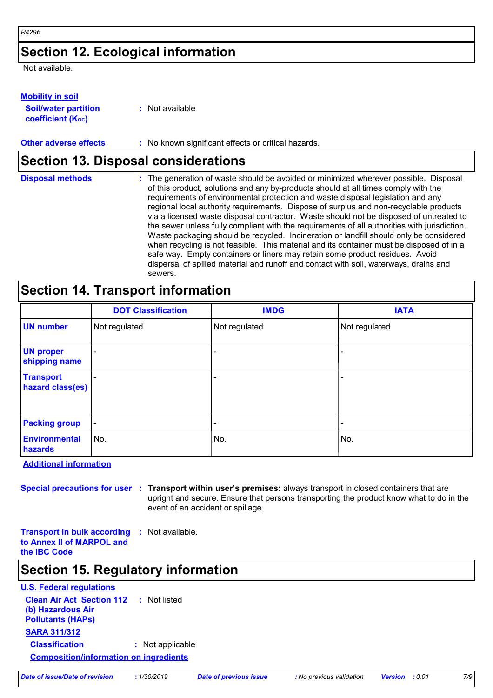# **Section 12. Ecological information**

Not available.

### **Mobility in soil**

| <b>Soil/water partition</b> |  |
|-----------------------------|--|
| <b>coefficient (Koc)</b>    |  |

**:** Not available

**Other adverse effects** : No known significant effects or critical hazards.

# **Section 13. Disposal considerations**

| <b>Disposal methods</b> | : The generation of waste should be avoided or minimized wherever possible. Disposal<br>of this product, solutions and any by-products should at all times comply with the<br>requirements of environmental protection and waste disposal legislation and any<br>regional local authority requirements. Dispose of surplus and non-recyclable products<br>via a licensed waste disposal contractor. Waste should not be disposed of untreated to<br>the sewer unless fully compliant with the requirements of all authorities with jurisdiction.<br>Waste packaging should be recycled. Incineration or landfill should only be considered<br>when recycling is not feasible. This material and its container must be disposed of in a<br>safe way. Empty containers or liners may retain some product residues. Avoid |
|-------------------------|------------------------------------------------------------------------------------------------------------------------------------------------------------------------------------------------------------------------------------------------------------------------------------------------------------------------------------------------------------------------------------------------------------------------------------------------------------------------------------------------------------------------------------------------------------------------------------------------------------------------------------------------------------------------------------------------------------------------------------------------------------------------------------------------------------------------|
|                         | dispersal of spilled material and runoff and contact with soil, waterways, drains and<br>sewers.                                                                                                                                                                                                                                                                                                                                                                                                                                                                                                                                                                                                                                                                                                                       |

# **Section 14. Transport information**

|                                      | <b>DOT Classification</b> | <b>IMDG</b>   | <b>IATA</b>   |  |
|--------------------------------------|---------------------------|---------------|---------------|--|
| <b>UN number</b>                     | Not regulated             | Not regulated | Not regulated |  |
| <b>UN proper</b><br>shipping name    | $\overline{\phantom{0}}$  |               |               |  |
| <b>Transport</b><br>hazard class(es) | $\blacksquare$            |               |               |  |
| <b>Packing group</b>                 | $\blacksquare$            |               |               |  |
| <b>Environmental</b><br>hazards      | ∣No.                      | No.           | No.           |  |

**Additional information**

**Special precautions for user Transport within user's premises:** always transport in closed containers that are **:** upright and secure. Ensure that persons transporting the product know what to do in the event of an accident or spillage.

**Transport in bulk according to Annex II of MARPOL and the IBC Code :** Not available.

# **Section 15. Regulatory information**

**U.S. Federal regulations Clean Air Act Section 112 (b) Hazardous Air Pollutants (HAPs) :** Not listed **SARA 311/312 Classification :** Not applicable **Composition/information on ingredients**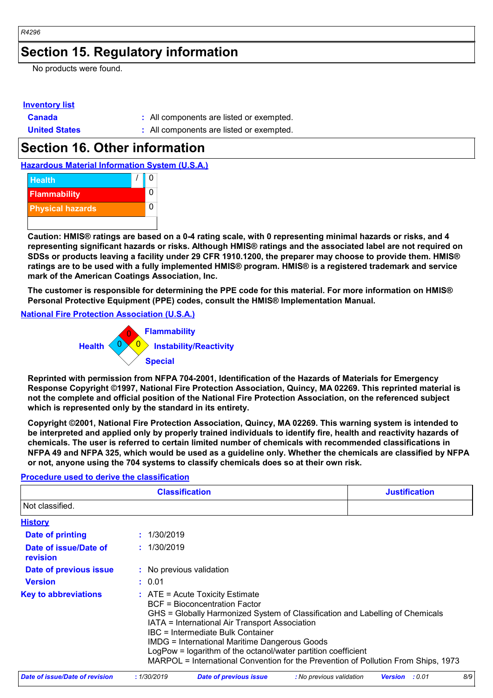# **Section 15. Regulatory information**

No products were found.

### **Inventory list**

- **Canada :** All components are listed or exempted.
- **United States :** All components are listed or exempted.

# **Section 16. Other information**

**Hazardous Material Information System (U.S.A.)**



**Caution: HMIS® ratings are based on a 0-4 rating scale, with 0 representing minimal hazards or risks, and 4 representing significant hazards or risks. Although HMIS® ratings and the associated label are not required on SDSs or products leaving a facility under 29 CFR 1910.1200, the preparer may choose to provide them. HMIS® ratings are to be used with a fully implemented HMIS® program. HMIS® is a registered trademark and service mark of the American Coatings Association, Inc.**

**The customer is responsible for determining the PPE code for this material. For more information on HMIS® Personal Protective Equipment (PPE) codes, consult the HMIS® Implementation Manual.**

### **National Fire Protection Association (U.S.A.)**



**Reprinted with permission from NFPA 704-2001, Identification of the Hazards of Materials for Emergency Response Copyright ©1997, National Fire Protection Association, Quincy, MA 02269. This reprinted material is not the complete and official position of the National Fire Protection Association, on the referenced subject which is represented only by the standard in its entirety.**

**Copyright ©2001, National Fire Protection Association, Quincy, MA 02269. This warning system is intended to be interpreted and applied only by properly trained individuals to identify fire, health and reactivity hazards of chemicals. The user is referred to certain limited number of chemicals with recommended classifications in NFPA 49 and NFPA 325, which would be used as a guideline only. Whether the chemicals are classified by NFPA or not, anyone using the 704 systems to classify chemicals does so at their own risk.**

### **Procedure used to derive the classification**

| <b>Classification</b>             |  |                                                                                                                                                                                                                                                                                                                                                                                                                                                                           | <b>Justification</b> |
|-----------------------------------|--|---------------------------------------------------------------------------------------------------------------------------------------------------------------------------------------------------------------------------------------------------------------------------------------------------------------------------------------------------------------------------------------------------------------------------------------------------------------------------|----------------------|
| Not classified.                   |  |                                                                                                                                                                                                                                                                                                                                                                                                                                                                           |                      |
| <b>History</b>                    |  |                                                                                                                                                                                                                                                                                                                                                                                                                                                                           |                      |
| <b>Date of printing</b>           |  | : 1/30/2019                                                                                                                                                                                                                                                                                                                                                                                                                                                               |                      |
| Date of issue/Date of<br>revision |  | : 1/30/2019                                                                                                                                                                                                                                                                                                                                                                                                                                                               |                      |
| Date of previous issue            |  | : No previous validation                                                                                                                                                                                                                                                                                                                                                                                                                                                  |                      |
| <b>Version</b>                    |  | : 0.01                                                                                                                                                                                                                                                                                                                                                                                                                                                                    |                      |
| <b>Key to abbreviations</b>       |  | $\therefore$ ATE = Acute Toxicity Estimate<br><b>BCF</b> = Bioconcentration Factor<br>GHS = Globally Harmonized System of Classification and Labelling of Chemicals<br>IATA = International Air Transport Association<br>IBC = Intermediate Bulk Container<br><b>IMDG</b> = International Maritime Dangerous Goods<br>LogPow = logarithm of the octanol/water partition coefficient<br>MARPOL = International Convention for the Prevention of Pollution From Ships, 1973 |                      |